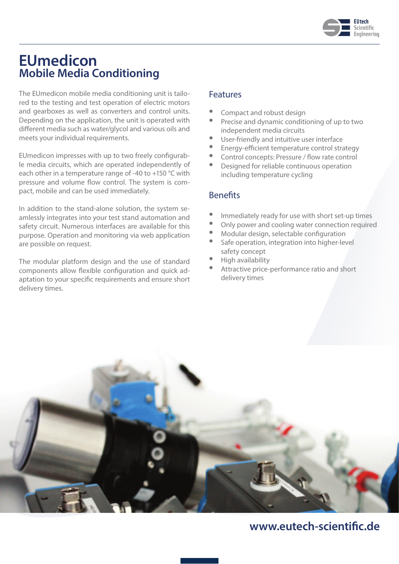

## **EUmedicon Mobile Media Conditioning**

The EUmedicon mobile media conditioning unit is tailored to the testing and test operation of electric motors and gearboxes as well as converters and control units. Depending on the application, the unit is operated with different media such as water/glycol and various oils and meets your individual requirements.

EUmedicon impresses with up to two freely configurable media circuits, which are operated independently of each other in a temperature range of -40 to +150 °C with pressure and volume flow control. The system is compact, mobile and can be used immediately.

In addition to the stand-alone solution, the system seamlessly integrates into your test stand automation and safety circuit. Numerous interfaces are available for this purpose. Operation and monitoring via web application are possible on request.

The modular platform design and the use of standard components allow flexible configuration and quick adaptation to your specific requirements and ensure short delivery times.

#### Features

- Compact and robust design
- Precise and dynamic conditioning of up to two independent media circuits
- User-friendly and intuitive user interface
- Energy-efficient temperature control strategy
- Control concepts: Pressure / flow rate control
- Designed for reliable continuous operation including temperature cycling

#### Benefits

- Immediately ready for use with short set-up times
- Only power and cooling water connection required
- Modular design, selectable configuration
- Safe operation, integration into higher-level safety concept
- High availability
- Attractive price-performance ratio and short delivery times



## **www.eutech-scientific.de**